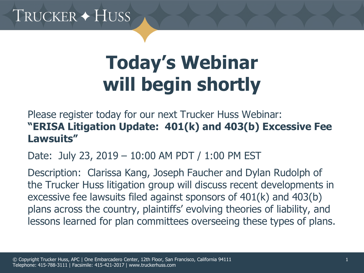# TRUCKER + HUSS

# **Today's Webinar will begin shortly**

Please register today for our next Trucker Huss Webinar: **"ERISA Litigation Update: 401(k) and 403(b) Excessive Fee Lawsuits"**

Date: July 23, 2019 – 10:00 AM PDT / 1:00 PM EST

Description: Clarissa Kang, Joseph Faucher and Dylan Rudolph of the Trucker Huss litigation group will discuss recent developments in excessive fee lawsuits filed against sponsors of 401(k) and 403(b) plans across the country, plaintiffs' evolving theories of liability, and lessons learned for plan committees overseeing these types of plans.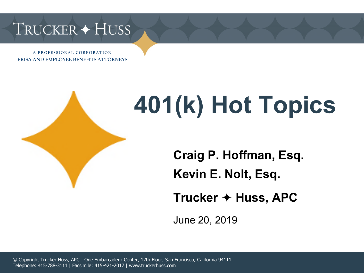# TRUCKER + HUSS

A PROFESSIONAL CORPORATION **ERISA AND EMPLOYEE BENEFITS ATTORNEYS** 



# **401(k) Hot Topics**

**Craig P. Hoffman, Esq.**

**Kevin E. Nolt, Esq.**

**Trucker Huss, APC**

June 20, 2019

© Copyright Trucker Huss, APC | One Embarcadero Center, 12th Floor, San Francisco, California 94111 Telephone: 415-788-3111 | Facsimile: 415-421-2017 | www.truckerhuss.com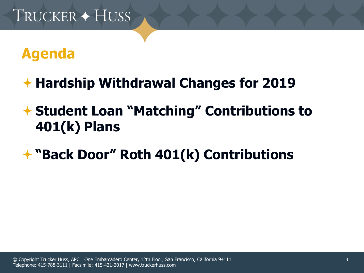### **Agenda**

- **Hardship Withdrawal Changes for 2019**
- **Student Loan "Matching" Contributions to 401(k) Plans**
- **"Back Door" Roth 401(k) Contributions**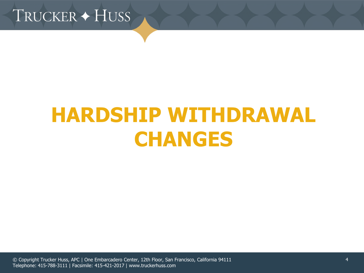TRUCKER + HUSS

# **HARDSHIP WITHDRAWAL CHANGES**

© Copyright Trucker Huss, APC | One Embarcadero Center, 12th Floor, San Francisco, California 94111 Telephone: 415-788-3111 | Facsimile: 415-421-2017 | www.truckerhuss.com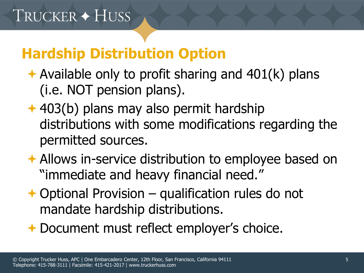### **Hardship Distribution Option**

- Available only to profit sharing and  $401(k)$  plans (i.e. NOT pension plans).
- $\div$  **403(b) plans may also permit hardship** distributions with some modifications regarding the permitted sources.
- Allows in-service distribution to employee based on "immediate and heavy financial need."
- $\rightarrow$  Optional Provision qualification rules do not mandate hardship distributions.
- **← Document must reflect employer's choice.**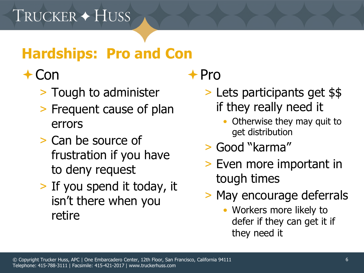# **Hardships: Pro and Con**

#### $+$  Con

- > Tough to administer
- > Frequent cause of plan errors
- > Can be source of frustration if you have to deny request
- > If you spend it today, it isn't there when you retire

# $+$ Pro

- > Lets participants get \$\$ if they really need it
	- Otherwise they may quit to get distribution
- > Good "karma"
- > Even more important in tough times
- > May encourage deferrals
	- Workers more likely to defer if they can get it if they need it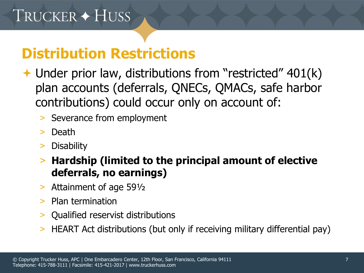#### **Distribution Restrictions**

- **→ Under prior law, distributions from "restricted" 401(k)** plan accounts (deferrals, QNECs, QMACs, safe harbor contributions) could occur only on account of:
	- > Severance from employment
	- > Death
	- > Disability
	- > **Hardship (limited to the principal amount of elective deferrals, no earnings)**
	- > Attainment of age 59½
	- > Plan termination
	- > Qualified reservist distributions
	- > HEART Act distributions (but only if receiving military differential pay)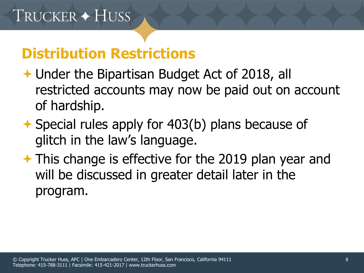#### **Distribution Restrictions**

- ◆ Under the Bipartisan Budget Act of 2018, all restricted accounts may now be paid out on account of hardship.
- **★ Special rules apply for 403(b) plans because of** glitch in the law's language.
- **★ This change is effective for the 2019 plan year and** will be discussed in greater detail later in the program.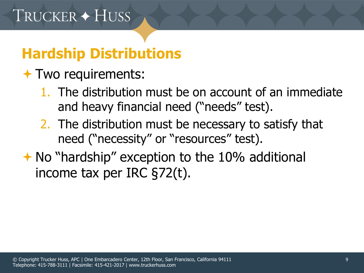# **Hardship Distributions**

- **★ Two requirements:** 
	- 1. The distribution must be on account of an immediate and heavy financial need ("needs" test).
	- 2. The distribution must be necessary to satisfy that need ("necessity" or "resources" test).
- $\rightarrow$  No "hardship" exception to the 10% additional income tax per IRC §72(t).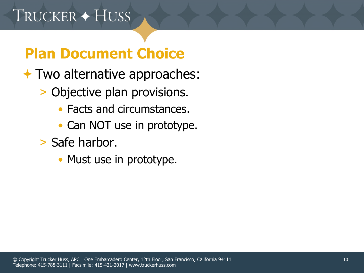# **Plan Document Choice**

- **★ Two alternative approaches:** 
	- > Objective plan provisions.
		- Facts and circumstances.
		- Can NOT use in prototype.
	- > Safe harbor.
		- Must use in prototype.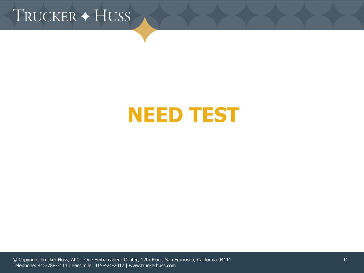TRUCKER + HUSS

# **NEED TEST**

© Copyright Trucker Huss, APC | One Embarcadero Center, 12th Floor, San Francisco, California 94111 Telephone: 415-788-3111 | Facsimile: 415-421-2017 | www.truckerhuss.com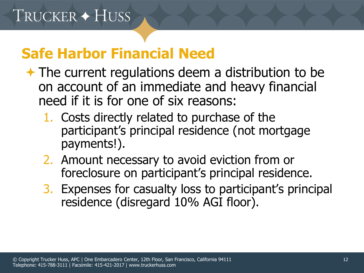#### **Safe Harbor Financial Need**

- **★ The current regulations deem a distribution to be** on account of an immediate and heavy financial need if it is for one of six reasons:
	- 1. Costs directly related to purchase of the participant's principal residence (not mortgage payments!).
	- 2. Amount necessary to avoid eviction from or foreclosure on participant's principal residence.
	- 3. Expenses for casualty loss to participant's principal residence (disregard 10% AGI floor).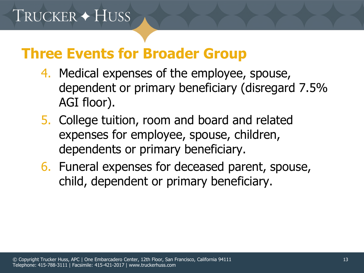#### **Three Events for Broader Group**

- 4. Medical expenses of the employee, spouse, dependent or primary beneficiary (disregard 7.5% AGI floor).
- 5. College tuition, room and board and related expenses for employee, spouse, children, dependents or primary beneficiary.
- 6. Funeral expenses for deceased parent, spouse, child, dependent or primary beneficiary.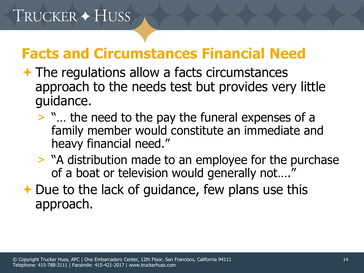#### **Facts and Circumstances Financial Need**

- $\rightarrow$  The regulations allow a facts circumstances approach to the needs test but provides very little guidance.
	- > "… the need to the pay the funeral expenses of a family member would constitute an immediate and heavy financial need."
	- > "A distribution made to an employee for the purchase of a boat or television would generally not…."
- $\rightarrow$  Due to the lack of guidance, few plans use this approach.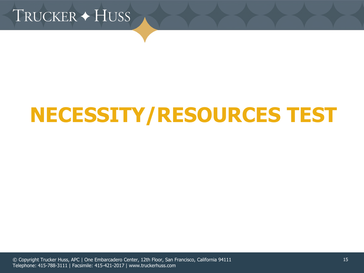

# **NECESSITY/RESOURCES TEST**

© Copyright Trucker Huss, APC | One Embarcadero Center, 12th Floor, San Francisco, California 94111 Telephone: 415-788-3111 | Facsimile: 415-421-2017 | www.truckerhuss.com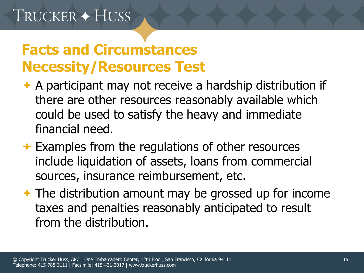#### **Facts and Circumstances Necessity/Resources Test**

- A participant may not receive a hardship distribution if there are other resources reasonably available which could be used to satisfy the heavy and immediate financial need.
- **← Examples from the regulations of other resources** include liquidation of assets, loans from commercial sources, insurance reimbursement, etc.
- **★ The distribution amount may be grossed up for income** taxes and penalties reasonably anticipated to result from the distribution.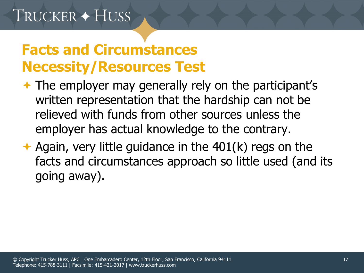#### **Facts and Circumstances Necessity/Resources Test**

- $\rightarrow$  The employer may generally rely on the participant's written representation that the hardship can not be relieved with funds from other sources unless the employer has actual knowledge to the contrary.
- Again, very little guidance in the  $401(k)$  regs on the facts and circumstances approach so little used (and its going away).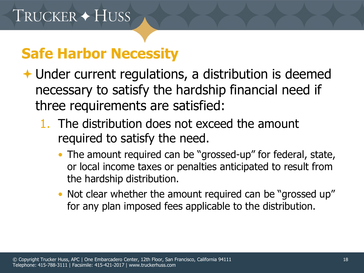#### **Safe Harbor Necessity**

- Under current regulations, a distribution is deemed necessary to satisfy the hardship financial need if three requirements are satisfied:
	- 1. The distribution does not exceed the amount required to satisfy the need.
		- The amount required can be "grossed-up" for federal, state, or local income taxes or penalties anticipated to result from the hardship distribution.
		- Not clear whether the amount required can be "grossed up" for any plan imposed fees applicable to the distribution.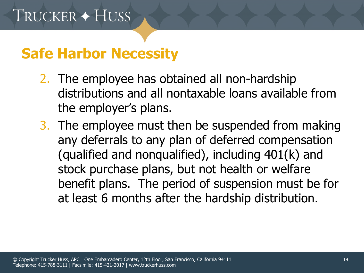#### **Safe Harbor Necessity**

- 2. The employee has obtained all non-hardship distributions and all nontaxable loans available from the employer's plans.
- 3. The employee must then be suspended from making any deferrals to any plan of deferred compensation (qualified and nonqualified), including 401(k) and stock purchase plans, but not health or welfare benefit plans. The period of suspension must be for at least 6 months after the hardship distribution.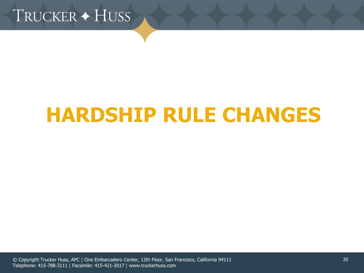

# **HARDSHIP RULE CHANGES**

© Copyright Trucker Huss, APC | One Embarcadero Center, 12th Floor, San Francisco, California 94111 Telephone: 415-788-3111 | Facsimile: 415-421-2017 | www.truckerhuss.com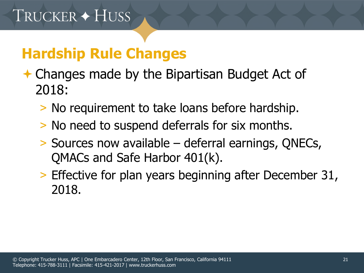- **← Changes made by the Bipartisan Budget Act of** 2018:
	- > No requirement to take loans before hardship.
	- > No need to suspend deferrals for six months.
	- > Sources now available deferral earnings, QNECs, QMACs and Safe Harbor 401(k).
	- > Effective for plan years beginning after December 31, 2018.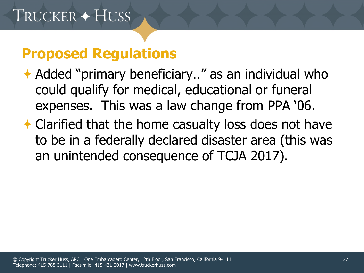- **↑ Added "primary beneficiary.." as an individual who** could qualify for medical, educational or funeral expenses. This was a law change from PPA '06.
- **← Clarified that the home casualty loss does not have** to be in a federally declared disaster area (this was an unintended consequence of TCJA 2017).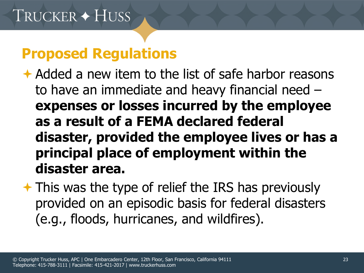Added a new item to the list of safe harbor reasons to have an immediate and heavy financial need – **expenses or losses incurred by the employee as a result of a FEMA declared federal disaster, provided the employee lives or has a principal place of employment within the disaster area.** 

 $\rightarrow$  This was the type of relief the IRS has previously provided on an episodic basis for federal disasters (e.g., floods, hurricanes, and wildfires).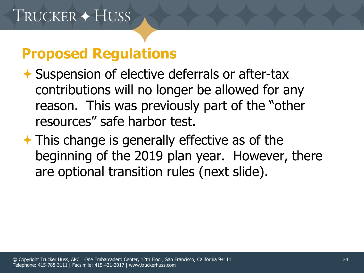- Suspension of elective deferrals or after-tax contributions will no longer be allowed for any reason. This was previously part of the "other resources" safe harbor test.
- $\rightarrow$  This change is generally effective as of the beginning of the 2019 plan year. However, there are optional transition rules (next slide).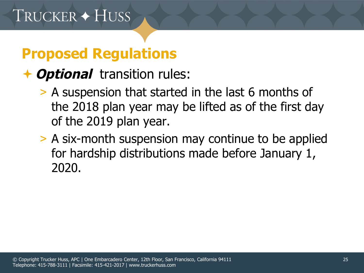#### **Optional** transition rules:

- > A suspension that started in the last 6 months of the 2018 plan year may be lifted as of the first day of the 2019 plan year.
- > A six-month suspension may continue to be applied for hardship distributions made before January 1, 2020.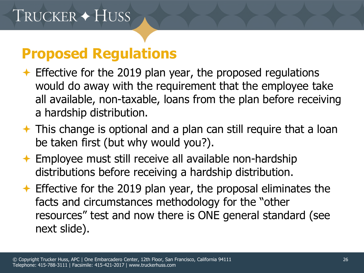- $\triangle$  Effective for the 2019 plan year, the proposed regulations would do away with the requirement that the employee take all available, non-taxable, loans from the plan before receiving a hardship distribution.
- $\rightarrow$  This change is optional and a plan can still require that a loan be taken first (but why would you?).
- Employee must still receive all available non-hardship distributions before receiving a hardship distribution.
- $\rightarrow$  Effective for the 2019 plan year, the proposal eliminates the facts and circumstances methodology for the "other resources" test and now there is ONE general standard (see next slide).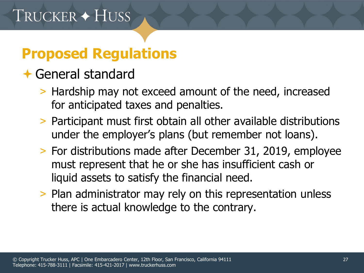#### General standard

- > Hardship may not exceed amount of the need, increased for anticipated taxes and penalties.
- > Participant must first obtain all other available distributions under the employer's plans (but remember not loans).
- > For distributions made after December 31, 2019, employee must represent that he or she has insufficient cash or liquid assets to satisfy the financial need.
- > Plan administrator may rely on this representation unless there is actual knowledge to the contrary.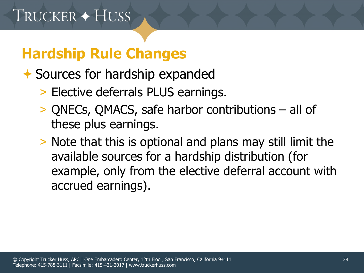- **★ Sources for hardship expanded** 
	- > Elective deferrals PLUS earnings.
	- > QNECs, QMACS, safe harbor contributions all of these plus earnings.
	- > Note that this is optional and plans may still limit the available sources for a hardship distribution (for example, only from the elective deferral account with accrued earnings).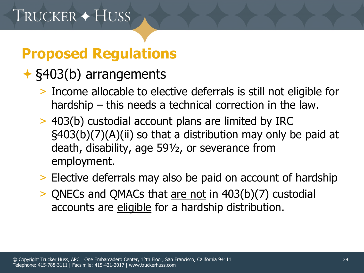#### §403(b) arrangements

- > Income allocable to elective deferrals is still not eligible for hardship – this needs a technical correction in the law.
- > 403(b) custodial account plans are limited by IRC §403(b)(7)(A)(ii) so that a distribution may only be paid at death, disability, age 59½, or severance from employment.
- > Elective deferrals may also be paid on account of hardship
- > QNECs and QMACs that are not in 403(b)(7) custodial accounts are eligible for a hardship distribution.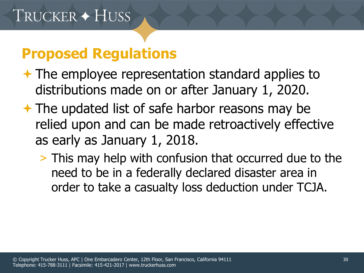- **★ The employee representation standard applies to** distributions made on or after January 1, 2020.
- $\rightarrow$  The updated list of safe harbor reasons may be relied upon and can be made retroactively effective as early as January 1, 2018.
	- > This may help with confusion that occurred due to the need to be in a federally declared disaster area in order to take a casualty loss deduction under TCJA.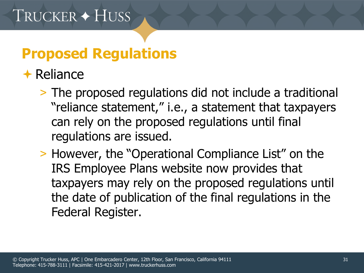#### $\bigstar$  Reliance

- > The proposed regulations did not include a traditional "reliance statement," i.e., a statement that taxpayers can rely on the proposed regulations until final regulations are issued.
- > However, the "Operational Compliance List" on the IRS Employee Plans website now provides that taxpayers may rely on the proposed regulations until the date of publication of the final regulations in the Federal Register.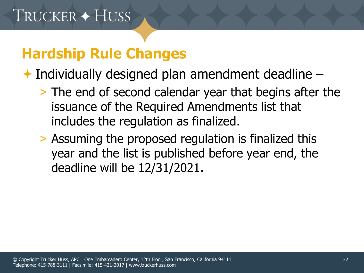$\rightarrow$  Individually designed plan amendment deadline  $-$ 

- > The end of second calendar year that begins after the issuance of the Required Amendments list that includes the regulation as finalized.
- > Assuming the proposed regulation is finalized this year and the list is published before year end, the deadline will be 12/31/2021.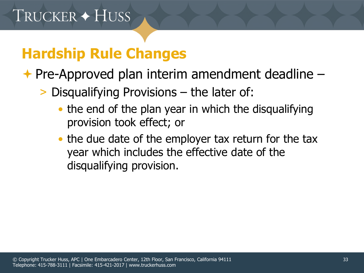**← Pre-Approved plan interim amendment deadline –** 

- > Disqualifying Provisions the later of:
	- the end of the plan year in which the disqualifying provision took effect; or
	- the due date of the employer tax return for the tax year which includes the effective date of the disqualifying provision.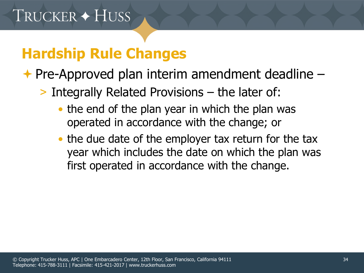**← Pre-Approved plan interim amendment deadline –** 

> Integrally Related Provisions – the later of:

- the end of the plan year in which the plan was operated in accordance with the change; or
- the due date of the employer tax return for the tax year which includes the date on which the plan was first operated in accordance with the change.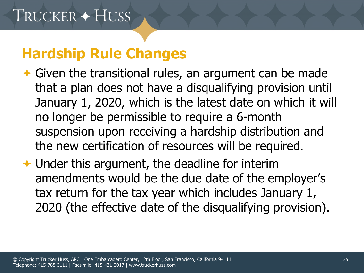- $\rightarrow$  Given the transitional rules, an argument can be made that a plan does not have a disqualifying provision until January 1, 2020, which is the latest date on which it will no longer be permissible to require a 6-month suspension upon receiving a hardship distribution and the new certification of resources will be required.
- **← Under this argument, the deadline for interim** amendments would be the due date of the employer's tax return for the tax year which includes January 1, 2020 (the effective date of the disqualifying provision).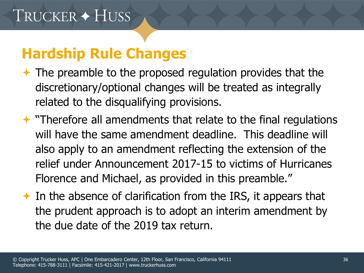- $\rightarrow$  The preamble to the proposed regulation provides that the discretionary/optional changes will be treated as integrally related to the disqualifying provisions.
- $\rightarrow$  "Therefore all amendments that relate to the final regulations will have the same amendment deadline. This deadline will also apply to an amendment reflecting the extension of the relief under Announcement 2017-15 to victims of Hurricanes Florence and Michael, as provided in this preamble."
- $\rightarrow$  In the absence of clarification from the IRS, it appears that the prudent approach is to adopt an interim amendment by the due date of the 2019 tax return.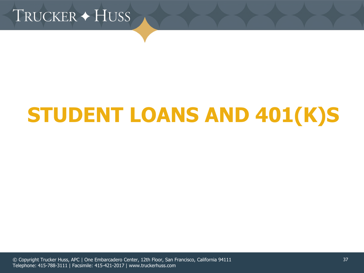

# **STUDENT LOANS AND 401(K)S**

© Copyright Trucker Huss, APC | One Embarcadero Center, 12th Floor, San Francisco, California 94111 Telephone: 415-788-3111 | Facsimile: 415-421-2017 | www.truckerhuss.com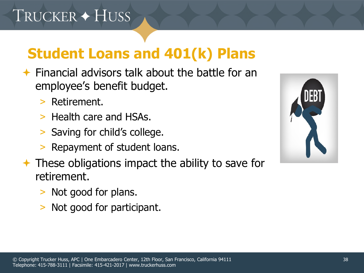# TRUCKER + HUSS

- $\rightarrow$  Financial advisors talk about the battle for an employee's benefit budget.
	- > Retirement.
	- > Health care and HSAs.
	- > Saving for child's college.
	- > Repayment of student loans.
- $\rightarrow$  These obligations impact the ability to save for retirement.
	- > Not good for plans.
	- > Not good for participant.

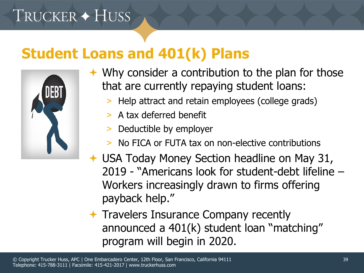# TRUCKER + HUSS

#### **Student Loans and 401(k) Plans**



- $\rightarrow$  Why consider a contribution to the plan for those that are currently repaying student loans:
	- > Help attract and retain employees (college grads)
	- > A tax deferred benefit
	- Deductible by employer
	- No FICA or FUTA tax on non-elective contributions
- USA Today Money Section headline on May 31, 2019 - "Americans look for student-debt lifeline – Workers increasingly drawn to firms offering payback help."

 $\rightarrow$  Travelers Insurance Company recently announced a 401(k) student loan "matching" program will begin in 2020.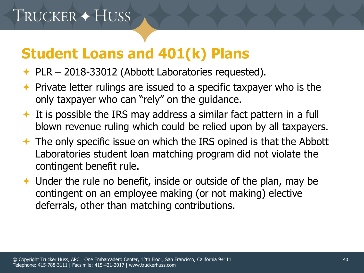- $\div$  PLR 2018-33012 (Abbott Laboratories requested).
- $\rightarrow$  Private letter rulings are issued to a specific taxpayer who is the only taxpayer who can "rely" on the guidance.
- $\triangleq$  It is possible the IRS may address a similar fact pattern in a full blown revenue ruling which could be relied upon by all taxpayers.
- The only specific issue on which the IRS opined is that the Abbott Laboratories student loan matching program did not violate the contingent benefit rule.
- $\rightarrow$  Under the rule no benefit, inside or outside of the plan, may be contingent on an employee making (or not making) elective deferrals, other than matching contributions.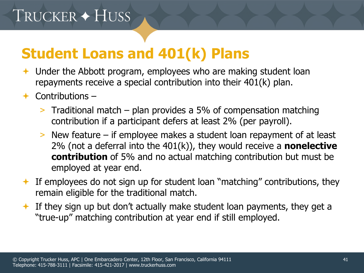# TRUCKER + HUSS

- Under the Abbott program, employees who are making student loan repayments receive a special contribution into their 401(k) plan.
- $\leftarrow$  Contributions
	- > Traditional match plan provides a 5% of compensation matching contribution if a participant defers at least 2% (per payroll).
	- > New feature if employee makes a student loan repayment of at least 2% (not a deferral into the 401(k)), they would receive a **nonelective contribution** of 5% and no actual matching contribution but must be employed at year end.
- $\triangle$  If employees do not sign up for student loan "matching" contributions, they remain eligible for the traditional match.
- If they sign up but don't actually make student loan payments, they get a "true-up" matching contribution at year end if still employed.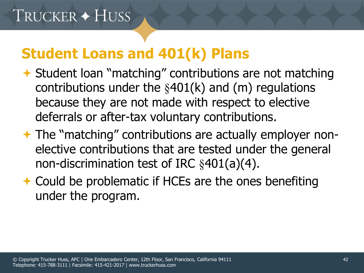- **↑ Student loan "matching" contributions are not matching** contributions under the  $§401(k)$  and  $(m)$  regulations because they are not made with respect to elective deferrals or after-tax voluntary contributions.
- **★ The "matching" contributions are actually employer non**elective contributions that are tested under the general non-discrimination test of IRC §401(a)(4).
- **← Could be problematic if HCEs are the ones benefiting** under the program.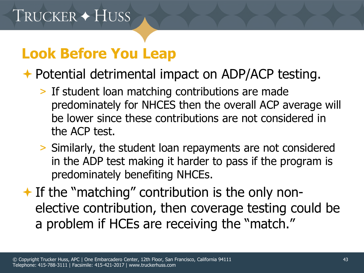# **Look Before You Leap**

← Potential detrimental impact on ADP/ACP testing.

- > If student loan matching contributions are made predominately for NHCES then the overall ACP average will be lower since these contributions are not considered in the ACP test.
- > Similarly, the student loan repayments are not considered in the ADP test making it harder to pass if the program is predominately benefiting NHCEs.
- $\rightarrow$  If the "matching" contribution is the only nonelective contribution, then coverage testing could be a problem if HCEs are receiving the "match."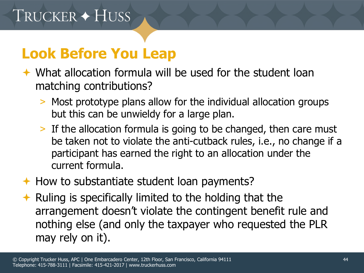### **Look Before You Leap**

- What allocation formula will be used for the student loan matching contributions?
	- > Most prototype plans allow for the individual allocation groups but this can be unwieldy for a large plan.
	- > If the allocation formula is going to be changed, then care must be taken not to violate the anti-cutback rules, i.e., no change if a participant has earned the right to an allocation under the current formula.
- $\rightarrow$  How to substantiate student loan payments?
- $\triangle$  Ruling is specifically limited to the holding that the arrangement doesn't violate the contingent benefit rule and nothing else (and only the taxpayer who requested the PLR may rely on it).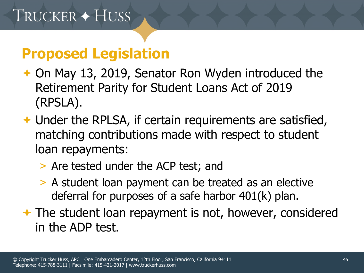#### **Proposed Legislation**

- **← On May 13, 2019, Senator Ron Wyden introduced the** Retirement Parity for Student Loans Act of 2019 (RPSLA).
- **← Under the RPLSA, if certain requirements are satisfied,** matching contributions made with respect to student loan repayments:
	- > Are tested under the ACP test; and
	- > A student loan payment can be treated as an elective deferral for purposes of a safe harbor 401(k) plan.
- **★ The student loan repayment is not, however, considered** in the ADP test.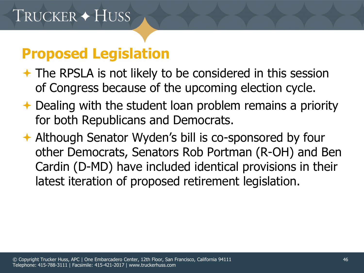#### **Proposed Legislation**

- **★ The RPSLA is not likely to be considered in this session** of Congress because of the upcoming election cycle.
- ← Dealing with the student loan problem remains a priority for both Republicans and Democrats.
- Although Senator Wyden's bill is co-sponsored by four other Democrats, Senators Rob Portman (R-OH) and Ben Cardin (D-MD) have included identical provisions in their latest iteration of proposed retirement legislation.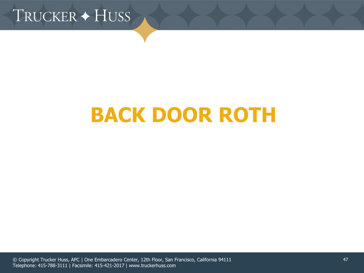TRUCKER + HUSS

# **BACK DOOR ROTH**

© Copyright Trucker Huss, APC | One Embarcadero Center, 12th Floor, San Francisco, California 94111 Telephone: 415-788-3111 | Facsimile: 415-421-2017 | www.truckerhuss.com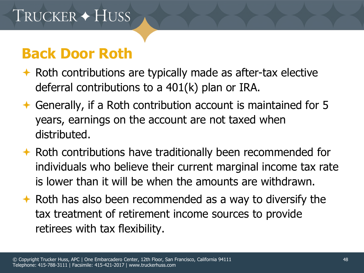- $\rightarrow$  Roth contributions are typically made as after-tax elective deferral contributions to a 401(k) plan or IRA.
- Generally, if a Roth contribution account is maintained for 5 years, earnings on the account are not taxed when distributed.
- $\rightarrow$  Roth contributions have traditionally been recommended for individuals who believe their current marginal income tax rate is lower than it will be when the amounts are withdrawn.
- $\rightarrow$  Roth has also been recommended as a way to diversify the tax treatment of retirement income sources to provide retirees with tax flexibility.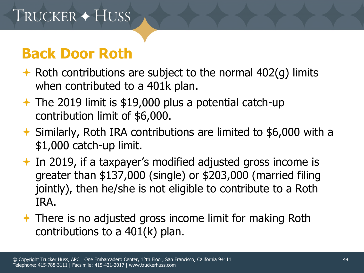- $\rightarrow$  Roth contributions are subject to the normal 402(g) limits when contributed to a 401k plan.
- $\rightarrow$  The 2019 limit is \$19,000 plus a potential catch-up contribution limit of \$6,000.
- Similarly, Roth IRA contributions are limited to \$6,000 with a \$1,000 catch-up limit.
- $\rightarrow$  In 2019, if a taxpayer's modified adjusted gross income is greater than \$137,000 (single) or \$203,000 (married filing jointly), then he/she is not eligible to contribute to a Roth IRA.
- **★ There is no adjusted gross income limit for making Roth** contributions to a 401(k) plan.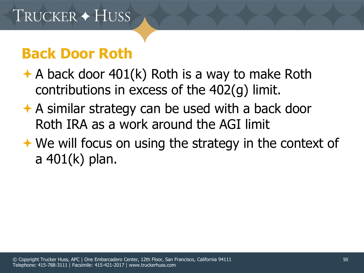- $\rightarrow$  A back door 401(k) Roth is a way to make Roth contributions in excess of the 402(g) limit.
- $\rightarrow$  A similar strategy can be used with a back door Roth IRA as a work around the AGI limit
- $\rightarrow$  We will focus on using the strategy in the context of a 401(k) plan.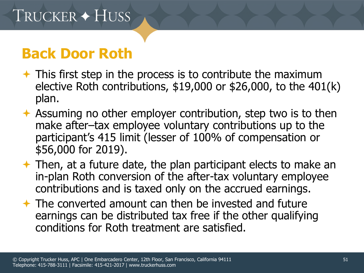- $\rightarrow$  This first step in the process is to contribute the maximum elective Roth contributions, \$19,000 or \$26,000, to the 401(k) plan.
- Assuming no other employer contribution, step two is to then make after–tax employee voluntary contributions up to the participant's 415 limit (lesser of 100% of compensation or \$56,000 for 2019).
- $\rightarrow$  Then, at a future date, the plan participant elects to make an in-plan Roth conversion of the after-tax voluntary employee contributions and is taxed only on the accrued earnings.
- $\rightarrow$  The converted amount can then be invested and future earnings can be distributed tax free if the other qualifying conditions for Roth treatment are satisfied.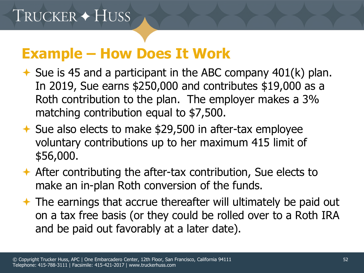#### **Example – How Does It Work**

- $\rightarrow$  Sue is 45 and a participant in the ABC company 401(k) plan. In 2019, Sue earns \$250,000 and contributes \$19,000 as a Roth contribution to the plan. The employer makes a 3% matching contribution equal to \$7,500.
- $\rightarrow$  Sue also elects to make \$29,500 in after-tax employee voluntary contributions up to her maximum 415 limit of \$56,000.
- After contributing the after-tax contribution, Sue elects to make an in-plan Roth conversion of the funds.
- The earnings that accrue thereafter will ultimately be paid out on a tax free basis (or they could be rolled over to a Roth IRA and be paid out favorably at a later date).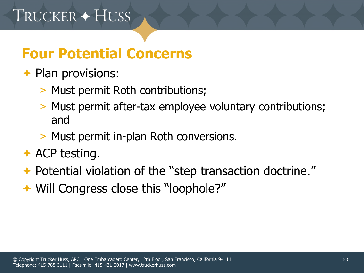#### **Four Potential Concerns**

#### $\rightarrow$  Plan provisions:

- > Must permit Roth contributions;
- > Must permit after-tax employee voluntary contributions; and
- > Must permit in-plan Roth conversions.
- $\rightarrow$  ACP testing.
- ◆ Potential violation of the "step transaction doctrine."
- **★ Will Congress close this "loophole?"**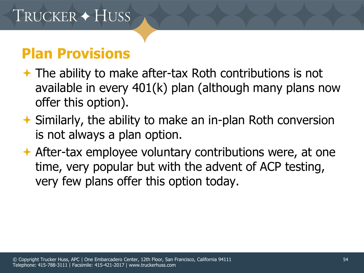#### **Plan Provisions**

- $\rightarrow$  The ability to make after-tax Roth contributions is not available in every 401(k) plan (although many plans now offer this option).
- Similarly, the ability to make an in-plan Roth conversion is not always a plan option.
- **★ After-tax employee voluntary contributions were, at one** time, very popular but with the advent of ACP testing, very few plans offer this option today.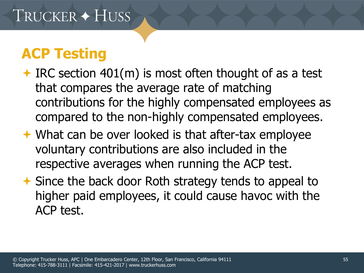- $\bigstar$  IRC section 401(m) is most often thought of as a test that compares the average rate of matching contributions for the highly compensated employees as compared to the non-highly compensated employees.
- **★ What can be over looked is that after-tax employee** voluntary contributions are also included in the respective averages when running the ACP test.
- **★ Since the back door Roth strategy tends to appeal to** higher paid employees, it could cause havoc with the ACP test.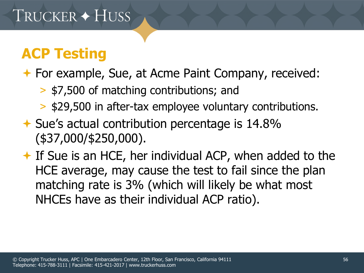#### **★ For example, Sue, at Acme Paint Company, received:**

- > \$7,500 of matching contributions; and
- > \$29,500 in after-tax employee voluntary contributions.
- **★ Sue's actual contribution percentage is 14.8%** (\$37,000/\$250,000).

 $\rightarrow$  If Sue is an HCE, her individual ACP, when added to the HCE average, may cause the test to fail since the plan matching rate is 3% (which will likely be what most NHCEs have as their individual ACP ratio).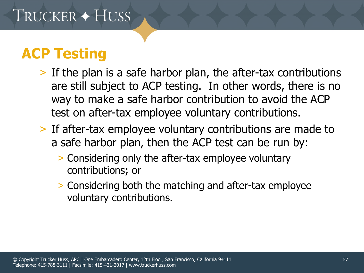- > If the plan is a safe harbor plan, the after-tax contributions are still subject to ACP testing. In other words, there is no way to make a safe harbor contribution to avoid the ACP test on after-tax employee voluntary contributions.
- > If after-tax employee voluntary contributions are made to a safe harbor plan, then the ACP test can be run by:
	- > Considering only the after-tax employee voluntary contributions; or
	- > Considering both the matching and after-tax employee voluntary contributions.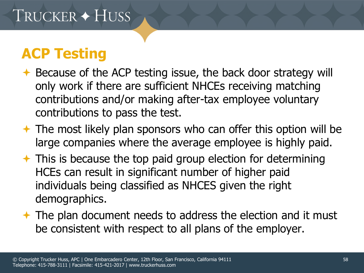- **★ Because of the ACP testing issue, the back door strategy will** only work if there are sufficient NHCEs receiving matching contributions and/or making after-tax employee voluntary contributions to pass the test.
- $\rightarrow$  The most likely plan sponsors who can offer this option will be large companies where the average employee is highly paid.
- $\rightarrow$  This is because the top paid group election for determining HCEs can result in significant number of higher paid individuals being classified as NHCES given the right demographics.
- $\rightarrow$  The plan document needs to address the election and it must be consistent with respect to all plans of the employer.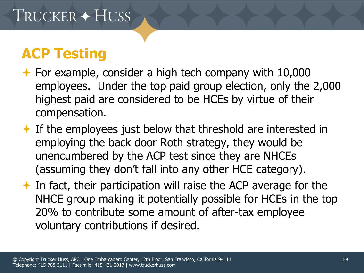- $\rightarrow$  For example, consider a high tech company with 10,000 employees. Under the top paid group election, only the 2,000 highest paid are considered to be HCEs by virtue of their compensation.
- $\triangle$  If the employees just below that threshold are interested in employing the back door Roth strategy, they would be unencumbered by the ACP test since they are NHCEs (assuming they don't fall into any other HCE category).
- $\rightarrow$  In fact, their participation will raise the ACP average for the NHCE group making it potentially possible for HCEs in the top 20% to contribute some amount of after-tax employee voluntary contributions if desired.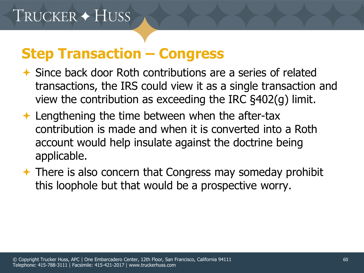#### **Step Transaction – Congress**

- Since back door Roth contributions are a series of related transactions, the IRS could view it as a single transaction and view the contribution as exceeding the IRC §402(g) limit.
- $\triangle$  Lengthening the time between when the after-tax contribution is made and when it is converted into a Roth account would help insulate against the doctrine being applicable.
- **★ There is also concern that Congress may someday prohibit** this loophole but that would be a prospective worry.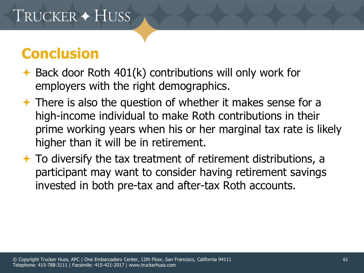#### **Conclusion**

- $\rightarrow$  Back door Roth 401(k) contributions will only work for employers with the right demographics.
- $\rightarrow$  There is also the question of whether it makes sense for a high-income individual to make Roth contributions in their prime working years when his or her marginal tax rate is likely higher than it will be in retirement.
- $\rightarrow$  To diversify the tax treatment of retirement distributions, a participant may want to consider having retirement savings invested in both pre-tax and after-tax Roth accounts.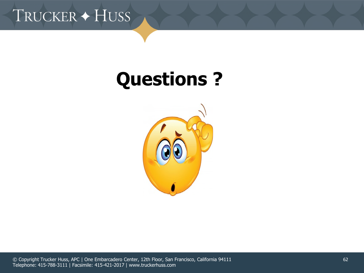

# **Questions ?**



© Copyright Trucker Huss, APC | One Embarcadero Center, 12th Floor, San Francisco, California 94111 Telephone: 415-788-3111 | Facsimile: 415-421-2017 | www.truckerhuss.com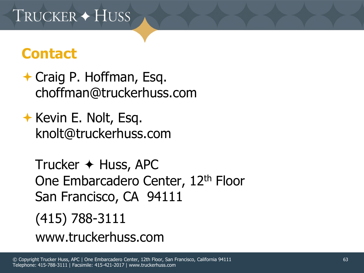#### **Contact**

**← Craig P. Hoffman, Esq.** choffman@truckerhuss.com

 $\rightarrow$  Kevin E. Nolt, Esq. knolt@truckerhuss.com

Trucker  $\leftrightarrow$  Huss, APC One Embarcadero Center, 12<sup>th</sup> Floor San Francisco, CA 94111 (415) 788-3111 www.truckerhuss.com